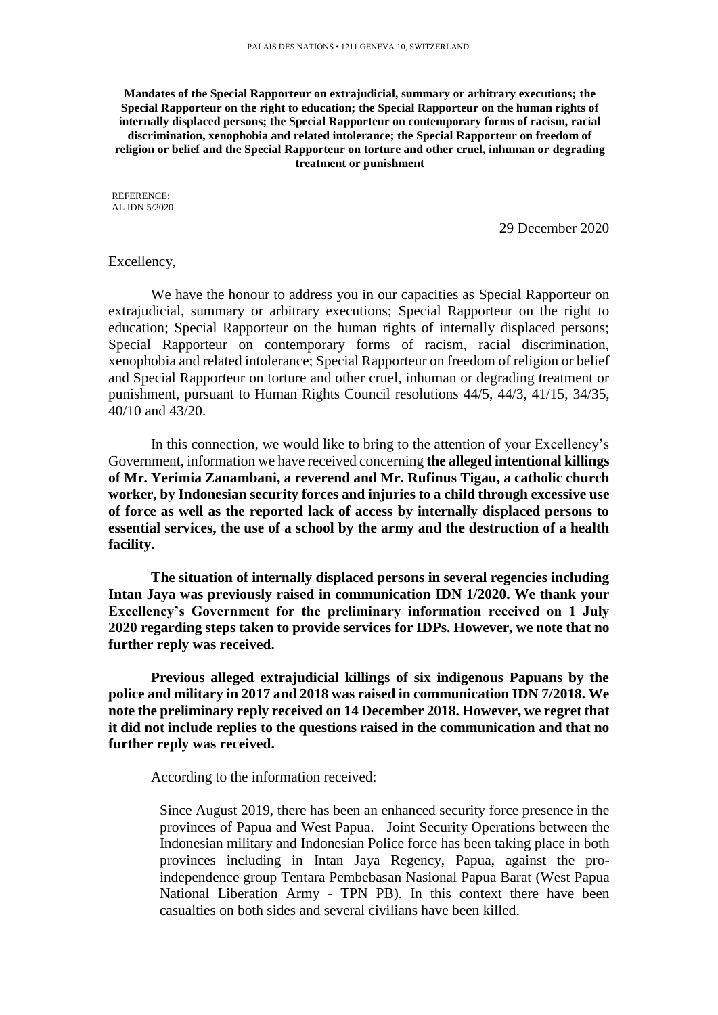**Mandates of the Special Rapporteur on extrajudicial, summary or arbitrary executions; the Special Rapporteur on the right to education; the Special Rapporteur on the human rights of internally displaced persons; the Special Rapporteur on contemporary forms of racism, racial discrimination, xenophobia and related intolerance; the Special Rapporteur on freedom of religion or belief and the Special Rapporteur on torture and other cruel, inhuman or degrading treatment or punishment**

REFERENCE: AL IDN 5/2020

29 December 2020

## Excellency,

We have the honour to address you in our capacities as Special Rapporteur on extrajudicial, summary or arbitrary executions; Special Rapporteur on the right to education; Special Rapporteur on the human rights of internally displaced persons; Special Rapporteur on contemporary forms of racism, racial discrimination, xenophobia and related intolerance; Special Rapporteur on freedom of religion or belief and Special Rapporteur on torture and other cruel, inhuman or degrading treatment or punishment, pursuant to Human Rights Council resolutions 44/5, 44/3, 41/15, 34/35, 40/10 and 43/20.

In this connection, we would like to bring to the attention of your Excellency's Government, information we have received concerning **the alleged intentional killings of Mr. Yerimia Zanambani, a reverend and Mr. Rufinus Tigau, a catholic church worker, by Indonesian security forces and injuries to a child through excessive use of force as well as the reported lack of access by internally displaced persons to essential services, the use of a school by the army and the destruction of a health facility.** 

**The situation of internally displaced persons in several regencies including Intan Jaya was previously raised in communication IDN 1/2020. We thank your Excellency's Government for the preliminary information received on 1 July 2020 regarding steps taken to provide services for IDPs. However, we note that no further reply was received.** 

**Previous alleged extrajudicial killings of six indigenous Papuans by the police and military in 2017 and 2018 was raised in communication IDN 7/2018. We note the preliminary reply received on 14 December 2018. However, we regret that it did not include replies to the questions raised in the communication and that no further reply was received.** 

According to the information received:

Since August 2019, there has been an enhanced security force presence in the provinces of Papua and West Papua. Joint Security Operations between the Indonesian military and Indonesian Police force has been taking place in both provinces including in Intan Jaya Regency, Papua, against the proindependence group Tentara Pembebasan Nasional Papua Barat (West Papua National Liberation Army - TPN PB). In this context there have been casualties on both sides and several civilians have been killed.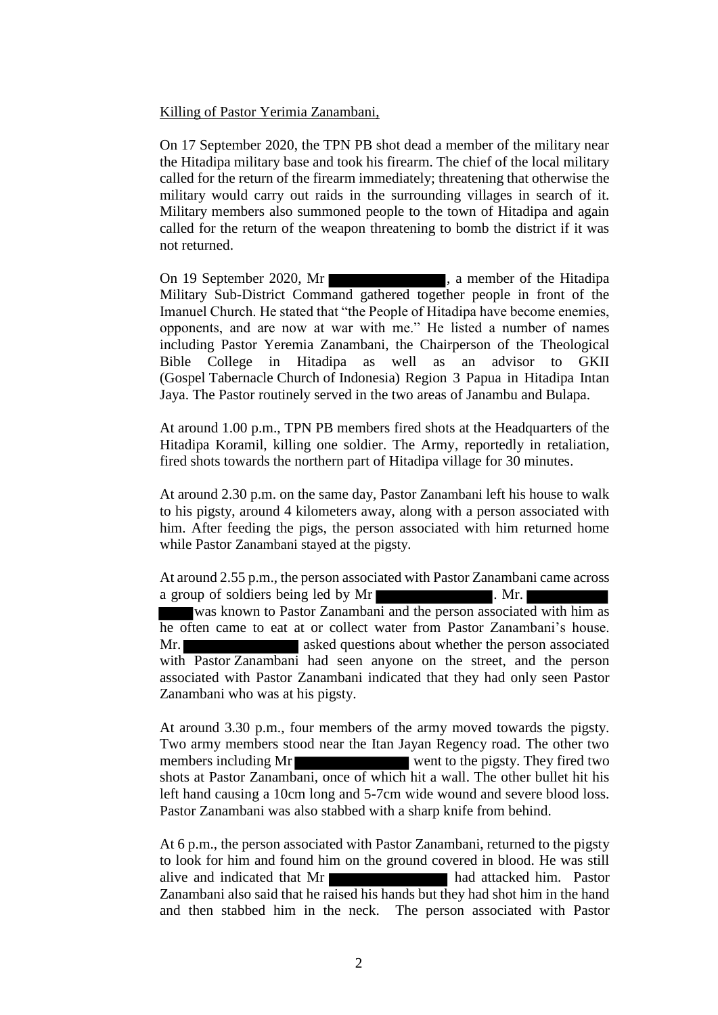# Killing of Pastor Yerimia Zanambani,

On 17 September 2020, the TPN PB shot dead a member of the military near the Hitadipa military base and took his firearm. The chief of the local military called for the return of the firearm immediately; threatening that otherwise the military would carry out raids in the surrounding villages in search of it. Military members also summoned people to the town of Hitadipa and again called for the return of the weapon threatening to bomb the district if it was not returned.

On 19 September 2020, Mr Military Sub-District Command gathered together people in front of the Imanuel Church. He stated that "the People of Hitadipa have become enemies, opponents, and are now at war with me." He listed a number of names including Pastor Yeremia Zanambani, the Chairperson of the Theological Bible College in Hitadipa as well as an advisor to GKII (Gospel Tabernacle Church of Indonesia) Region 3 Papua in Hitadipa Intan Jaya. The Pastor routinely served in the two areas of Janambu and Bulapa.

At around 1.00 p.m., TPN PB members fired shots at the Headquarters of the Hitadipa Koramil, killing one soldier. The Army, reportedly in retaliation, fired shots towards the northern part of Hitadipa village for 30 minutes.

At around 2.30 p.m. on the same day, Pastor Zanambani left his house to walk to his pigsty, around 4 kilometers away, along with a person associated with him. After feeding the pigs, the person associated with him returned home while Pastor Zanambani stayed at the pigsty.

At around 2.55 p.m., the person associated with Pastor Zanambani came across a group of soldiers being led by Mr was known to Pastor Zanambani and the person associated with him as he often came to eat at or collect water from Pastor Zanambani's house. Mr. **asked questions about whether the person associated** with Pastor Zanambani had seen anyone on the street, and the person associated with Pastor Zanambani indicated that they had only seen Pastor Zanambani who was at his pigsty.

At around 3.30 p.m., four members of the army moved towards the pigsty. Two army members stood near the Itan Jayan Regency road. The other two members including Mr shots at Pastor Zanambani, once of which hit a wall. The other bullet hit his left hand causing a 10cm long and 5-7cm wide wound and severe blood loss. Pastor Zanambani was also stabbed with a sharp knife from behind.

At 6 p.m., the person associated with Pastor Zanambani, returned to the pigsty to look for him and found him on the ground covered in blood. He was still alive and indicated that Mr Zanambani also said that he raised his hands but they had shot him in the hand and then stabbed him in the neck. The person associated with Pastor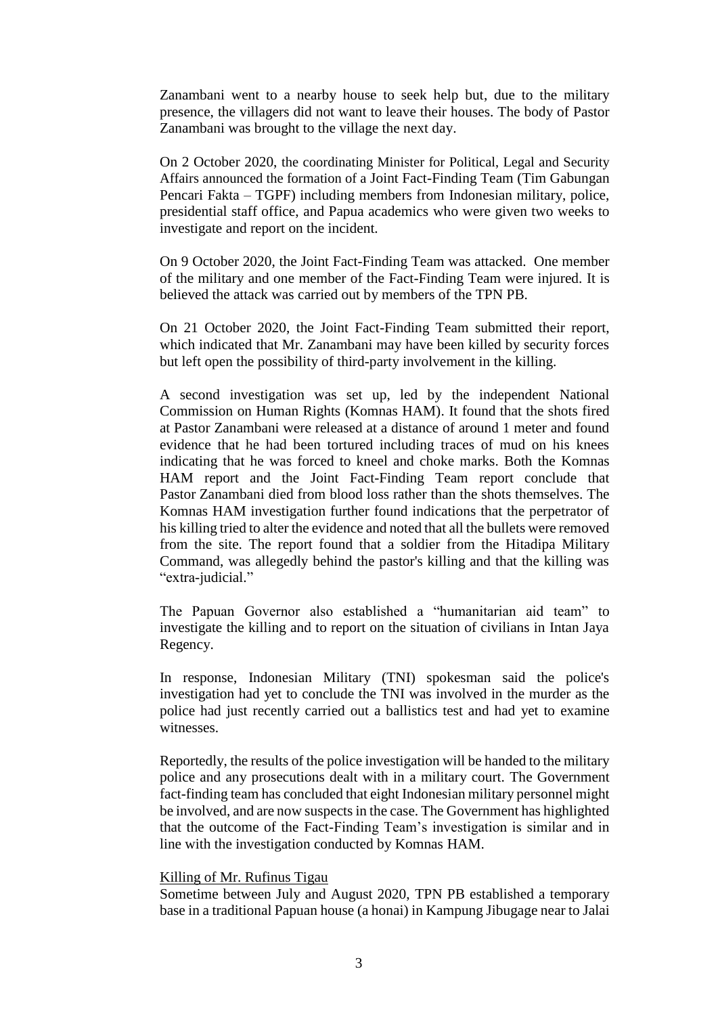Zanambani went to a nearby house to seek help but, due to the military presence, the villagers did not want to leave their houses. The body of Pastor Zanambani was brought to the village the next day.

On 2 October 2020, the coordinating Minister for Political, Legal and Security Affairs announced the formation of a Joint Fact-Finding Team (Tim Gabungan Pencari Fakta – TGPF) including members from Indonesian military, police, presidential staff office, and Papua academics who were given two weeks to investigate and report on the incident.

On 9 October 2020, the Joint Fact-Finding Team was attacked. One member of the military and one member of the Fact-Finding Team were injured. It is believed the attack was carried out by members of the TPN PB.

On 21 October 2020, the Joint Fact-Finding Team submitted their report, which indicated that Mr. Zanambani may have been killed by security forces but left open the possibility of third-party involvement in the killing.

A second investigation was set up, led by the independent National Commission on Human Rights (Komnas HAM). It found that the shots fired at Pastor Zanambani were released at a distance of around 1 meter and found evidence that he had been tortured including traces of mud on his knees indicating that he was forced to kneel and choke marks. Both the Komnas HAM report and the Joint Fact-Finding Team report conclude that Pastor Zanambani died from blood loss rather than the shots themselves. The Komnas HAM investigation further found indications that the perpetrator of his killing tried to alter the evidence and noted that all the bullets were removed from the site. The report found that a soldier from the Hitadipa Military Command, was allegedly behind the pastor's killing and that the killing was "extra-judicial."

The Papuan Governor also established a "humanitarian aid team" to investigate the killing and to report on the situation of civilians in Intan Jaya Regency.

In response, Indonesian Military (TNI) spokesman said the police's investigation had yet to conclude the TNI was involved in the murder as the police had just recently carried out a ballistics test and had yet to examine witnesses.

Reportedly, the results of the police investigation will be handed to the military police and any prosecutions dealt with in a military court. The Government fact-finding team has concluded that eight Indonesian military personnel might be involved, and are now suspects in the case. The Government has highlighted that the outcome of the Fact-Finding Team's investigation is similar and in line with the investigation conducted by Komnas HAM.

## Killing of Mr. Rufinus Tigau

Sometime between July and August 2020, TPN PB established a temporary base in a traditional Papuan house (a honai) in Kampung Jibugage near to Jalai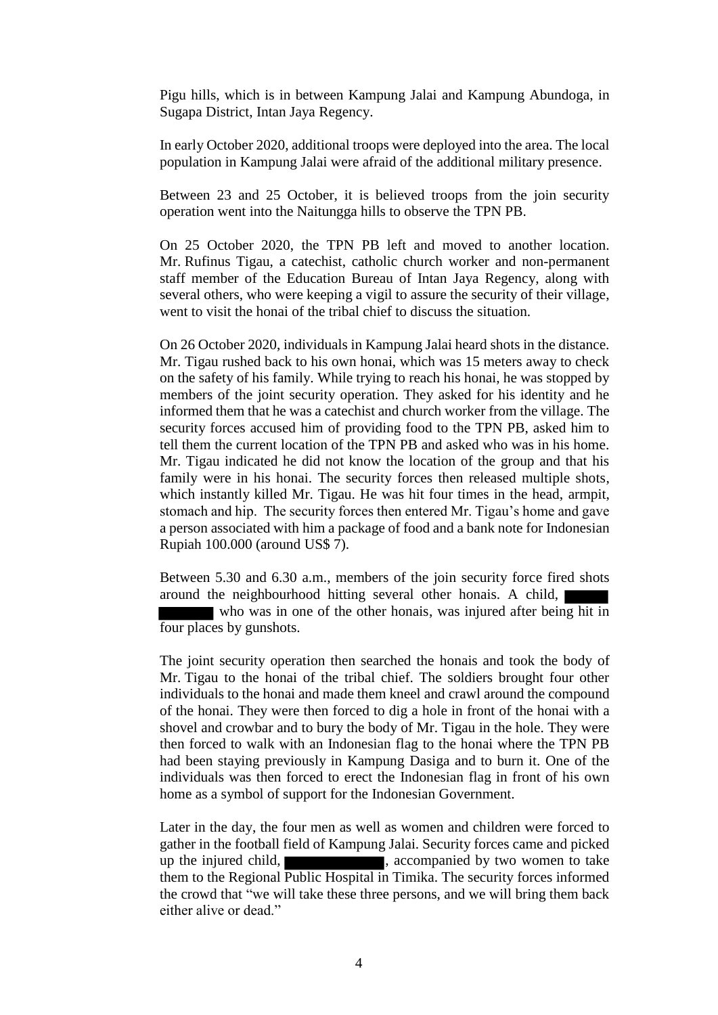Pigu hills, which is in between Kampung Jalai and Kampung Abundoga, in Sugapa District, Intan Jaya Regency.

In early October 2020, additional troops were deployed into the area. The local population in Kampung Jalai were afraid of the additional military presence.

Between 23 and 25 October, it is believed troops from the join security operation went into the Naitungga hills to observe the TPN PB.

On 25 October 2020, the TPN PB left and moved to another location. Mr. Rufinus Tigau, a catechist, catholic church worker and non-permanent staff member of the Education Bureau of Intan Jaya Regency, along with several others, who were keeping a vigil to assure the security of their village, went to visit the honai of the tribal chief to discuss the situation.

On 26 October 2020, individuals in Kampung Jalai heard shots in the distance. Mr. Tigau rushed back to his own honai, which was 15 meters away to check on the safety of his family. While trying to reach his honai, he was stopped by members of the joint security operation. They asked for his identity and he informed them that he was a catechist and church worker from the village. The security forces accused him of providing food to the TPN PB, asked him to tell them the current location of the TPN PB and asked who was in his home. Mr. Tigau indicated he did not know the location of the group and that his family were in his honai. The security forces then released multiple shots, which instantly killed Mr. Tigau. He was hit four times in the head, armpit, stomach and hip. The security forces then entered Mr. Tigau's home and gave a person associated with him a package of food and a bank note for Indonesian Rupiah 100.000 (around US\$ 7).

Between 5.30 and 6.30 a.m., members of the join security force fired shots around the neighbourhood hitting several other honais. A child, who was in one of the other honais, was injured after being hit in four places by gunshots.

The joint security operation then searched the honais and took the body of Mr. Tigau to the honai of the tribal chief. The soldiers brought four other individuals to the honai and made them kneel and crawl around the compound of the honai. They were then forced to dig a hole in front of the honai with a shovel and crowbar and to bury the body of Mr. Tigau in the hole. They were then forced to walk with an Indonesian flag to the honai where the TPN PB had been staying previously in Kampung Dasiga and to burn it. One of the individuals was then forced to erect the Indonesian flag in front of his own home as a symbol of support for the Indonesian Government.

Later in the day, the four men as well as women and children were forced to gather in the football field of Kampung Jalai. Security forces came and picked up the injured child,  $\blacksquare$ , accompanied by two women to take them to the Regional Public Hospital in Timika. The security forces informed the crowd that "we will take these three persons, and we will bring them back either alive or dead."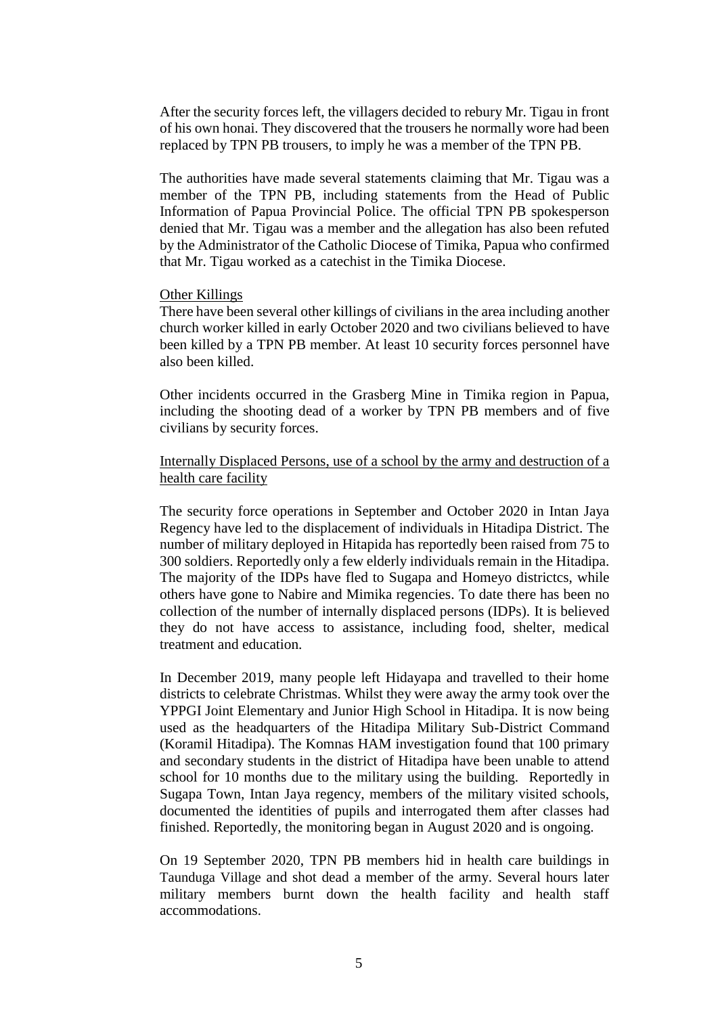After the security forces left, the villagers decided to rebury Mr. Tigau in front of his own honai. They discovered that the trousers he normally wore had been replaced by TPN PB trousers, to imply he was a member of the TPN PB.

The authorities have made several statements claiming that Mr. Tigau was a member of the TPN PB, including statements from the Head of Public Information of Papua Provincial Police. The official TPN PB spokesperson denied that Mr. Tigau was a member and the allegation has also been refuted by the Administrator of the Catholic Diocese of Timika, Papua who confirmed that Mr. Tigau worked as a catechist in the Timika Diocese.

## Other Killings

There have been several other killings of civilians in the area including another church worker killed in early October 2020 and two civilians believed to have been killed by a TPN PB member. At least 10 security forces personnel have also been killed.

Other incidents occurred in the Grasberg Mine in Timika region in Papua, including the shooting dead of a worker by TPN PB members and of five civilians by security forces.

Internally Displaced Persons, use of a school by the army and destruction of a health care facility

The security force operations in September and October 2020 in Intan Jaya Regency have led to the displacement of individuals in Hitadipa District. The number of military deployed in Hitapida has reportedly been raised from 75 to 300 soldiers. Reportedly only a few elderly individuals remain in the Hitadipa. The majority of the IDPs have fled to Sugapa and Homeyo districtcs, while others have gone to Nabire and Mimika regencies. To date there has been no collection of the number of internally displaced persons (IDPs). It is believed they do not have access to assistance, including food, shelter, medical treatment and education.

In December 2019, many people left Hidayapa and travelled to their home districts to celebrate Christmas. Whilst they were away the army took over the YPPGI Joint Elementary and Junior High School in Hitadipa. It is now being used as the headquarters of the Hitadipa Military Sub-District Command (Koramil Hitadipa). The Komnas HAM investigation found that 100 primary and secondary students in the district of Hitadipa have been unable to attend school for 10 months due to the military using the building. Reportedly in Sugapa Town, Intan Jaya regency, members of the military visited schools, documented the identities of pupils and interrogated them after classes had finished. Reportedly, the monitoring began in August 2020 and is ongoing.

On 19 September 2020, TPN PB members hid in health care buildings in Taunduga Village and shot dead a member of the army. Several hours later military members burnt down the health facility and health staff accommodations.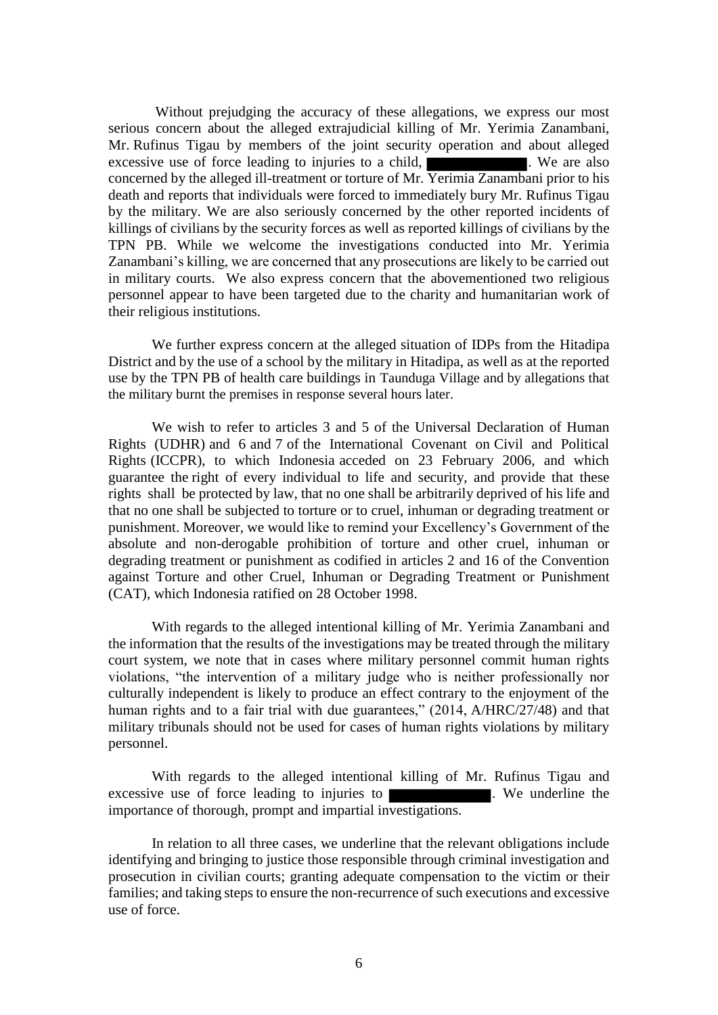Without prejudging the accuracy of these allegations, we express our most serious concern about the alleged extrajudicial killing of Mr. Yerimia Zanambani, Mr. Rufinus Tigau by members of the joint security operation and about alleged excessive use of force leading to injuries to a child, **Exercise 1.** We are also concerned by the alleged ill-treatment or torture of Mr. Yerimia Zanambani prior to his death and reports that individuals were forced to immediately bury Mr. Rufinus Tigau by the military. We are also seriously concerned by the other reported incidents of killings of civilians by the security forces as well as reported killings of civilians by the TPN PB. While we welcome the investigations conducted into Mr. Yerimia Zanambani's killing, we are concerned that any prosecutions are likely to be carried out in military courts. We also express concern that the abovementioned two religious personnel appear to have been targeted due to the charity and humanitarian work of their religious institutions.

We further express concern at the alleged situation of IDPs from the Hitadipa District and by the use of a school by the military in Hitadipa, as well as at the reported use by the TPN PB of health care buildings in Taunduga Village and by allegations that the military burnt the premises in response several hours later.

We wish to refer to articles 3 and 5 of the Universal Declaration of Human Rights (UDHR) and 6 and 7 of the International Covenant on Civil and Political Rights (ICCPR), to which Indonesia acceded on 23 February 2006, and which guarantee the right of every individual to life and security, and provide that these rights shall be protected by law, that no one shall be arbitrarily deprived of his life and that no one shall be subjected to torture or to cruel, inhuman or degrading treatment or punishment. Moreover, we would like to remind your Excellency's Government of the absolute and non-derogable prohibition of torture and other cruel, inhuman or degrading treatment or punishment as codified in articles 2 and 16 of the Convention against Torture and other Cruel, Inhuman or Degrading Treatment or Punishment (CAT), which Indonesia ratified on 28 October 1998.

With regards to the alleged intentional killing of Mr. Yerimia Zanambani and the information that the results of the investigations may be treated through the military court system, we note that in cases where military personnel commit human rights violations, "the intervention of a military judge who is neither professionally nor culturally independent is likely to produce an effect contrary to the enjoyment of the human rights and to a fair trial with due guarantees," (2014, A/HRC/27/48) and that military tribunals should not be used for cases of human rights violations by military personnel.

With regards to the alleged intentional killing of Mr. Rufinus Tigau and excessive use of force leading to injuries to **Net all all intervalse we underline** the importance of thorough, prompt and impartial investigations.

In relation to all three cases, we underline that the relevant obligations include identifying and bringing to justice those responsible through criminal investigation and prosecution in civilian courts; granting adequate compensation to the victim or their families; and taking steps to ensure the non-recurrence of such executions and excessive use of force.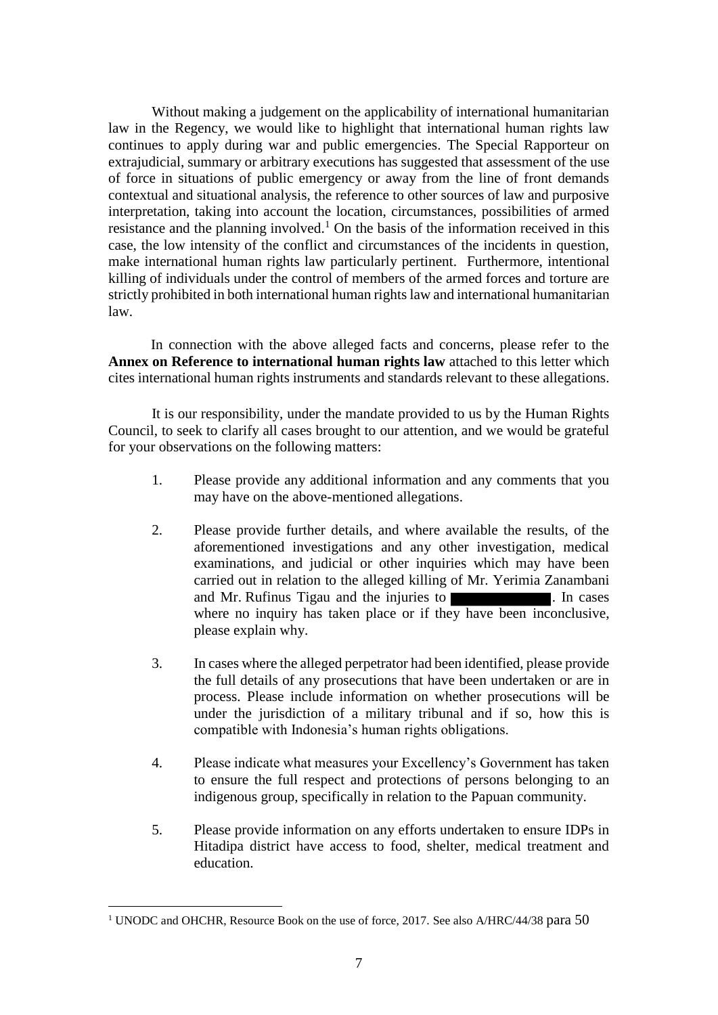Without making a judgement on the applicability of international humanitarian law in the Regency, we would like to highlight that international human rights law continues to apply during war and public emergencies. The Special Rapporteur on extrajudicial, summary or arbitrary executions has suggested that assessment of the use of force in situations of public emergency or away from the line of front demands contextual and situational analysis, the reference to other sources of law and purposive interpretation, taking into account the location, circumstances, possibilities of armed resistance and the planning involved.<sup>1</sup> On the basis of the information received in this case, the low intensity of the conflict and circumstances of the incidents in question, make international human rights law particularly pertinent. Furthermore, intentional killing of individuals under the control of members of the armed forces and torture are strictly prohibited in both international human rights law and international humanitarian law.

In connection with the above alleged facts and concerns, please refer to the **Annex on Reference to international human rights law** attached to this letter which cites international human rights instruments and standards relevant to these allegations.

It is our responsibility, under the mandate provided to us by the Human Rights Council, to seek to clarify all cases brought to our attention, and we would be grateful for your observations on the following matters:

- 1. Please provide any additional information and any comments that you may have on the above-mentioned allegations.
- 2. Please provide further details, and where available the results, of the aforementioned investigations and any other investigation, medical examinations, and judicial or other inquiries which may have been carried out in relation to the alleged killing of Mr. Yerimia Zanambani and Mr. Rufinus Tigau and the injuries to **Exercícies**. In cases where no inquiry has taken place or if they have been inconclusive, please explain why.
- 3. In cases where the alleged perpetrator had been identified, please provide the full details of any prosecutions that have been undertaken or are in process. Please include information on whether prosecutions will be under the jurisdiction of a military tribunal and if so, how this is compatible with Indonesia's human rights obligations.
- 4. Please indicate what measures your Excellency's Government has taken to ensure the full respect and protections of persons belonging to an indigenous group, specifically in relation to the Papuan community.
- 5. Please provide information on any efforts undertaken to ensure IDPs in Hitadipa district have access to food, shelter, medical treatment and education.

l

<sup>&</sup>lt;sup>1</sup> UNODC and OHCHR, Resource Book on the use of force, 2017. See also A/HRC/44/38 para 50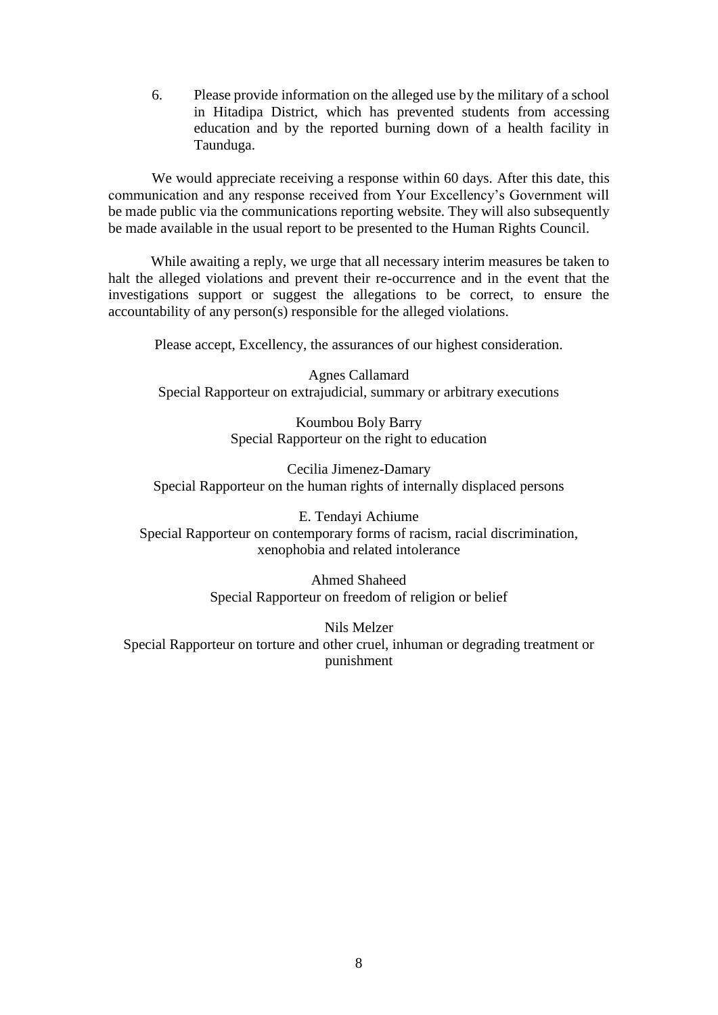6. Please provide information on the alleged use by the military of a school in Hitadipa District, which has prevented students from accessing education and by the reported burning down of a health facility in Taunduga.

We would appreciate receiving a response within 60 days. After this date, this communication and any response received from Your Excellency's Government will be made public via the communications reporting website. They will also subsequently be made available in the usual report to be presented to the Human Rights Council.

While awaiting a reply, we urge that all necessary interim measures be taken to halt the alleged violations and prevent their re-occurrence and in the event that the investigations support or suggest the allegations to be correct, to ensure the accountability of any person(s) responsible for the alleged violations.

Please accept, Excellency, the assurances of our highest consideration.

Agnes Callamard Special Rapporteur on extrajudicial, summary or arbitrary executions

> Koumbou Boly Barry Special Rapporteur on the right to education

Cecilia Jimenez-Damary Special Rapporteur on the human rights of internally displaced persons

E. Tendayi Achiume Special Rapporteur on contemporary forms of racism, racial discrimination, xenophobia and related intolerance

> Ahmed Shaheed Special Rapporteur on freedom of religion or belief

Nils Melzer Special Rapporteur on torture and other cruel, inhuman or degrading treatment or punishment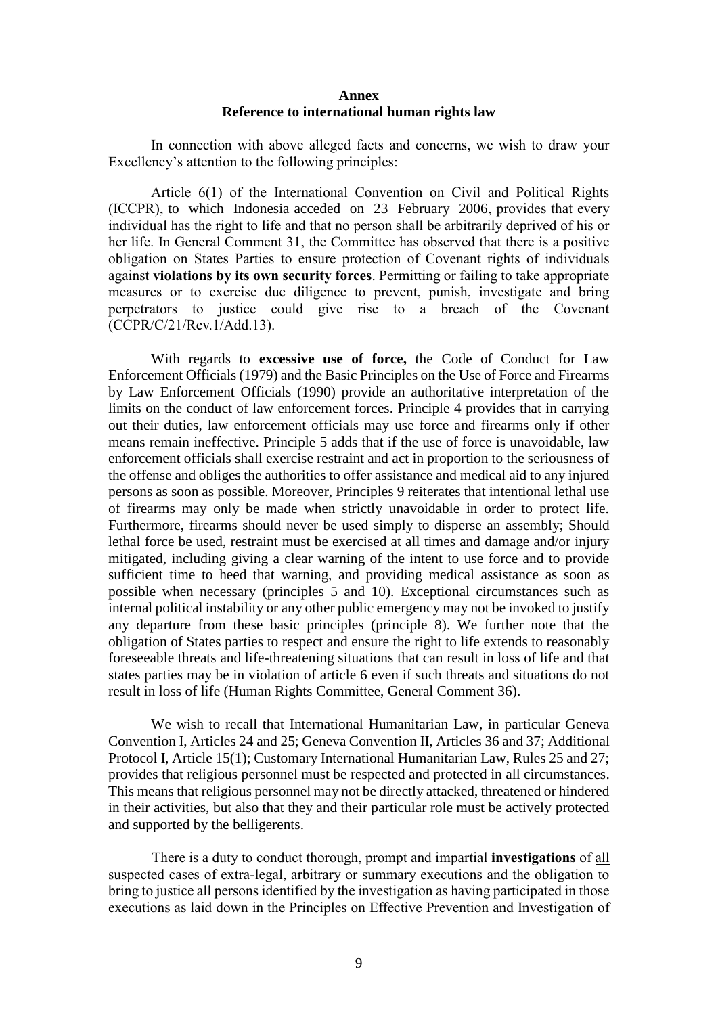### **Annex Reference to international human rights law**

In connection with above alleged facts and concerns, we wish to draw your Excellency's attention to the following principles:

Article 6(1) of the International Convention on Civil and Political Rights (ICCPR), to which Indonesia acceded on 23 February 2006, provides that every individual has the right to life and that no person shall be arbitrarily deprived of his or her life. In General Comment 31, the Committee has observed that there is a positive obligation on States Parties to ensure protection of Covenant rights of individuals against **violations by its own security forces**. Permitting or failing to take appropriate measures or to exercise due diligence to prevent, punish, investigate and bring perpetrators to justice could give rise to a breach of the Covenant (CCPR/C/21/Rev.1/Add.13).

With regards to **excessive use of force,** the Code of Conduct for Law Enforcement Officials (1979) and the Basic Principles on the Use of Force and Firearms by Law Enforcement Officials (1990) provide an authoritative interpretation of the limits on the conduct of law enforcement forces. Principle 4 provides that in carrying out their duties, law enforcement officials may use force and firearms only if other means remain ineffective. Principle 5 adds that if the use of force is unavoidable, law enforcement officials shall exercise restraint and act in proportion to the seriousness of the offense and obliges the authorities to offer assistance and medical aid to any injured persons as soon as possible. Moreover, Principles 9 reiterates that intentional lethal use of firearms may only be made when strictly unavoidable in order to protect life. Furthermore, firearms should never be used simply to disperse an assembly; Should lethal force be used, restraint must be exercised at all times and damage and/or injury mitigated, including giving a clear warning of the intent to use force and to provide sufficient time to heed that warning, and providing medical assistance as soon as possible when necessary (principles 5 and 10). Exceptional circumstances such as internal political instability or any other public emergency may not be invoked to justify any departure from these basic principles (principle 8). We further note that the obligation of States parties to respect and ensure the right to life extends to reasonably foreseeable threats and life-threatening situations that can result in loss of life and that states parties may be in violation of article 6 even if such threats and situations do not result in loss of life (Human Rights Committee, General Comment 36).

We wish to recall that International Humanitarian Law, in particular Geneva Convention I, Articles 24 and 25; Geneva Convention II, Articles 36 and 37; Additional Protocol I, Article 15(1); Customary International Humanitarian Law, Rules 25 and 27; provides that religious personnel must be respected and protected in all circumstances. This means that religious personnel may not be directly attacked, threatened or hindered in their activities, but also that they and their particular role must be actively protected and supported by the belligerents.

There is a duty to conduct thorough, prompt and impartial **investigations** of all suspected cases of extra-legal, arbitrary or summary executions and the obligation to bring to justice all persons identified by the investigation as having participated in those executions as laid down in the Principles on Effective Prevention and Investigation of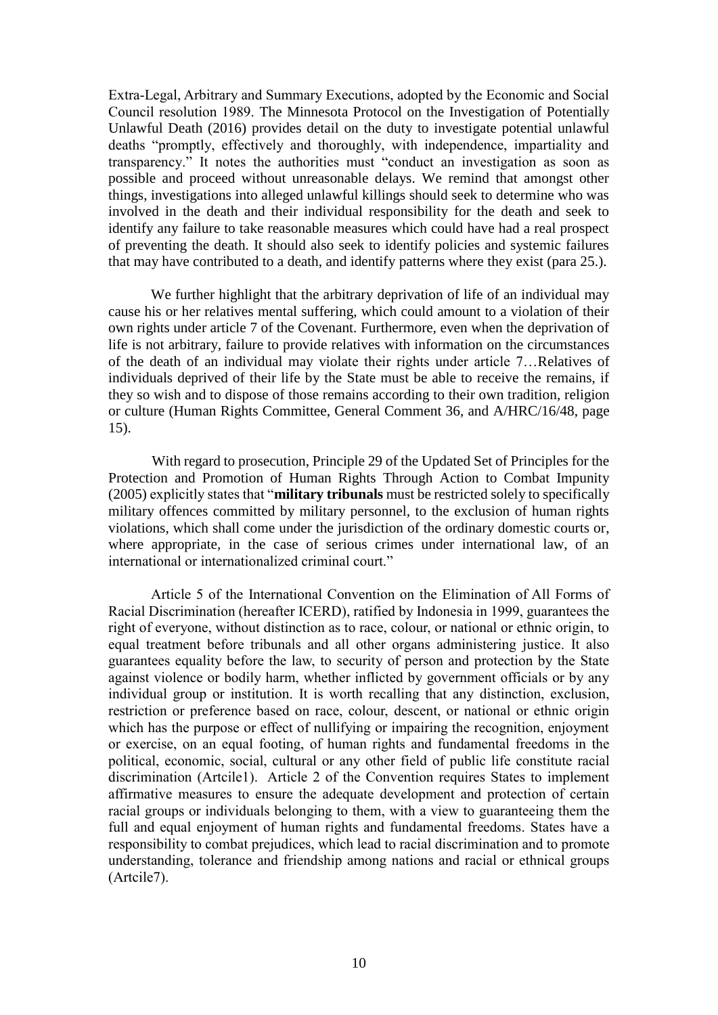Extra-Legal, Arbitrary and Summary Executions, adopted by the Economic and Social Council resolution 1989. The Minnesota Protocol on the Investigation of Potentially Unlawful Death (2016) provides detail on the duty to investigate potential unlawful deaths "promptly, effectively and thoroughly, with independence, impartiality and transparency." It notes the authorities must "conduct an investigation as soon as possible and proceed without unreasonable delays. We remind that amongst other things, investigations into alleged unlawful killings should seek to determine who was involved in the death and their individual responsibility for the death and seek to identify any failure to take reasonable measures which could have had a real prospect of preventing the death. It should also seek to identify policies and systemic failures that may have contributed to a death, and identify patterns where they exist (para 25.).

We further highlight that the arbitrary deprivation of life of an individual may cause his or her relatives mental suffering, which could amount to a violation of their own rights under article 7 of the Covenant. Furthermore, even when the deprivation of life is not arbitrary, failure to provide relatives with information on the circumstances of the death of an individual may violate their rights under article 7…Relatives of individuals deprived of their life by the State must be able to receive the remains, if they so wish and to dispose of those remains according to their own tradition, religion or culture (Human Rights Committee, General Comment 36, and A/HRC/16/48, page 15).

With regard to prosecution, Principle 29 of the Updated Set of Principles for the Protection and Promotion of Human Rights Through Action to Combat Impunity (2005) explicitly states that "**military tribunals** must be restricted solely to specifically military offences committed by military personnel, to the exclusion of human rights violations, which shall come under the jurisdiction of the ordinary domestic courts or, where appropriate, in the case of serious crimes under international law, of an international or internationalized criminal court."

Article 5 of the International Convention on the Elimination of All Forms of Racial Discrimination (hereafter ICERD), ratified by Indonesia in 1999, guarantees the right of everyone, without distinction as to race, colour, or national or ethnic origin, to equal treatment before tribunals and all other organs administering justice. It also guarantees equality before the law, to security of person and protection by the State against violence or bodily harm, whether inflicted by government officials or by any individual group or institution. It is worth recalling that any distinction, exclusion, restriction or preference based on race, colour, descent, or national or ethnic origin which has the purpose or effect of nullifying or impairing the recognition, enjoyment or exercise, on an equal footing, of human rights and fundamental freedoms in the political, economic, social, cultural or any other field of public life constitute racial discrimination (Artcile1). Article 2 of the Convention requires States to implement affirmative measures to ensure the adequate development and protection of certain racial groups or individuals belonging to them, with a view to guaranteeing them the full and equal enjoyment of human rights and fundamental freedoms. States have a responsibility to combat prejudices, which lead to racial discrimination and to promote understanding, tolerance and friendship among nations and racial or ethnical groups (Artcile7).